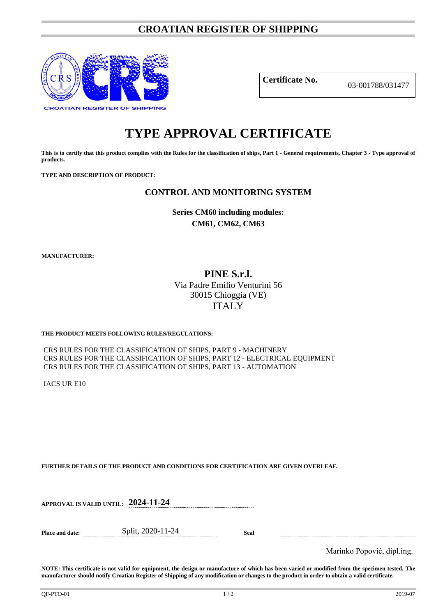# **CROATIAN REGISTER OF SHIPPING**



**Certificate No.** 03-001788/031477

# **TYPE APPROVAL CERTIFICATE**

**This is to certify that this product complies with the Rules for the classification of ships, Part 1 - General requirements, Chapter 3 - Type approval of products.**

**TYPE AND DESCRIPTION OF PRODUCT:** 

## **CONTROL AND MONITORING SYSTEM**

**Series CM60 including modules: CM61, CM62, CM63**

**MANUFACTURER:**

# **PINE S.r.l.** Via Padre Emilio Venturini 56 30015 Chioggia (VE) ITALY

## **THE PRODUCT MEETS FOLLOWING RULES/REGULATIONS:**

CRS RULES FOR THE CLASSIFICATION OF SHIPS, PART 9 - MACHINERY CRS RULES FOR THE CLASSIFICATION OF SHIPS, PART 12 - ELECTRICAL EQUIPMENT CRS RULES FOR THE CLASSIFICATION OF SHIPS, PART 13 - AUTOMATION

IACS UR E10

**FURTHER DETAILS OF THE PRODUCT AND CONDITIONS FOR CERTIFICATION ARE GIVEN OVERLEAF.**

| APPROVAL IS VALID UNTIL: 2024-11-24 |  |
|-------------------------------------|--|
|                                     |  |

**Place and date:** Split, 2020-11-24 **Seal**

Marinko Popović, dipl.ing.

**NOTE: This certificate is not valid for equipment, the design or manufacture of which has been varied or modified from the specimen tested. The manufacturer should notify Croatian Register of Shipping of any modification or changes to the product in order to obtain a valid certificate.**